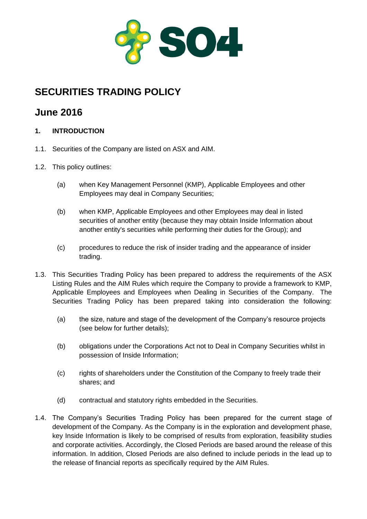

# **SECURITIES TRADING POLICY**

# **June 2016**

## **1. INTRODUCTION**

- 1.1. Securities of the Company are listed on ASX and AIM.
- 1.2. This policy outlines:
	- (a) when Key Management Personnel (KMP), Applicable Employees and other Employees may deal in Company Securities;
	- (b) when KMP, Applicable Employees and other Employees may deal in listed securities of another entity (because they may obtain Inside Information about another entity's securities while performing their duties for the Group); and
	- (c) procedures to reduce the risk of insider trading and the appearance of insider trading.
- 1.3. This Securities Trading Policy has been prepared to address the requirements of the ASX Listing Rules and the AIM Rules which require the Company to provide a framework to KMP, Applicable Employees and Employees when Dealing in Securities of the Company. The Securities Trading Policy has been prepared taking into consideration the following:
	- (a) the size, nature and stage of the development of the Company's resource projects (see below for further details);
	- (b) obligations under the Corporations Act not to Deal in Company Securities whilst in possession of Inside Information;
	- (c) rights of shareholders under the Constitution of the Company to freely trade their shares; and
	- (d) contractual and statutory rights embedded in the Securities.
- 1.4. The Company's Securities Trading Policy has been prepared for the current stage of development of the Company. As the Company is in the exploration and development phase, key Inside Information is likely to be comprised of results from exploration, feasibility studies and corporate activities. Accordingly, the Closed Periods are based around the release of this information. In addition, Closed Periods are also defined to include periods in the lead up to the release of financial reports as specifically required by the AIM Rules.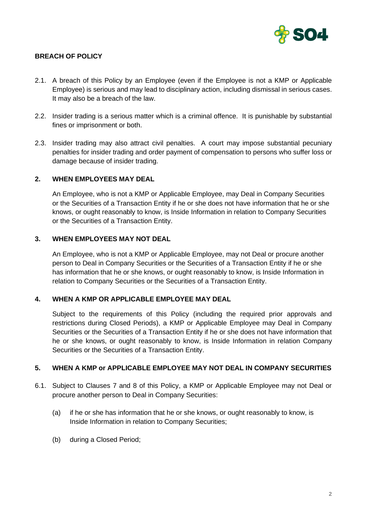

## **BREACH OF POLICY**

- 2.1. A breach of this Policy by an Employee (even if the Employee is not a KMP or Applicable Employee) is serious and may lead to disciplinary action, including dismissal in serious cases. It may also be a breach of the law.
- 2.2. Insider trading is a serious matter which is a criminal offence. It is punishable by substantial fines or imprisonment or both.
- 2.3. Insider trading may also attract civil penalties. A court may impose substantial pecuniary penalties for insider trading and order payment of compensation to persons who suffer loss or damage because of insider trading.

## **2. WHEN EMPLOYEES MAY DEAL**

An Employee, who is not a KMP or Applicable Employee, may Deal in Company Securities or the Securities of a Transaction Entity if he or she does not have information that he or she knows, or ought reasonably to know, is Inside Information in relation to Company Securities or the Securities of a Transaction Entity.

## **3. WHEN EMPLOYEES MAY NOT DEAL**

An Employee, who is not a KMP or Applicable Employee, may not Deal or procure another person to Deal in Company Securities or the Securities of a Transaction Entity if he or she has information that he or she knows, or ought reasonably to know, is Inside Information in relation to Company Securities or the Securities of a Transaction Entity.

### **4. WHEN A KMP OR APPLICABLE EMPLOYEE MAY DEAL**

Subject to the requirements of this Policy (including the required prior approvals and restrictions during Closed Periods), a KMP or Applicable Employee may Deal in Company Securities or the Securities of a Transaction Entity if he or she does not have information that he or she knows, or ought reasonably to know, is Inside Information in relation Company Securities or the Securities of a Transaction Entity.

## **5. WHEN A KMP or APPLICABLE EMPLOYEE MAY NOT DEAL IN COMPANY SECURITIES**

- 6.1. Subject to Clauses 7 and 8 of this Policy, a KMP or Applicable Employee may not Deal or procure another person to Deal in Company Securities:
	- (a) if he or she has information that he or she knows, or ought reasonably to know, is Inside Information in relation to Company Securities;
	- (b) during a Closed Period;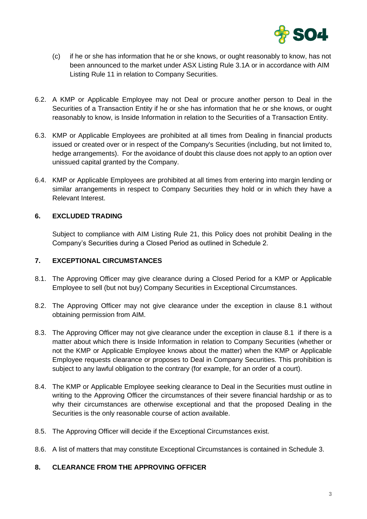

- (c) if he or she has information that he or she knows, or ought reasonably to know, has not been announced to the market under ASX Listing Rule 3.1A or in accordance with AIM Listing Rule 11 in relation to Company Securities.
- 6.2. A KMP or Applicable Employee may not Deal or procure another person to Deal in the Securities of a Transaction Entity if he or she has information that he or she knows, or ought reasonably to know, is Inside Information in relation to the Securities of a Transaction Entity.
- 6.3. KMP or Applicable Employees are prohibited at all times from Dealing in financial products issued or created over or in respect of the Company's Securities (including, but not limited to, hedge arrangements). For the avoidance of doubt this clause does not apply to an option over unissued capital granted by the Company.
- 6.4. KMP or Applicable Employees are prohibited at all times from entering into margin lending or similar arrangements in respect to Company Securities they hold or in which they have a Relevant Interest.

## **6. EXCLUDED TRADING**

Subject to compliance with AIM Listing Rule 21, this Policy does not prohibit Dealing in the Company's Securities during a Closed Period as outlined in Schedule 2.

### **7. EXCEPTIONAL CIRCUMSTANCES**

- 8.1. The Approving Officer may give clearance during a Closed Period for a KMP or Applicable Employee to sell (but not buy) Company Securities in Exceptional Circumstances.
- 8.2. The Approving Officer may not give clearance under the exception in clause 8.1 without obtaining permission from AIM.
- 8.3. The Approving Officer may not give clearance under the exception in clause 8.1 if there is a matter about which there is Inside Information in relation to Company Securities (whether or not the KMP or Applicable Employee knows about the matter) when the KMP or Applicable Employee requests clearance or proposes to Deal in Company Securities. This prohibition is subject to any lawful obligation to the contrary (for example, for an order of a court).
- 8.4. The KMP or Applicable Employee seeking clearance to Deal in the Securities must outline in writing to the Approving Officer the circumstances of their severe financial hardship or as to why their circumstances are otherwise exceptional and that the proposed Dealing in the Securities is the only reasonable course of action available.
- 8.5. The Approving Officer will decide if the Exceptional Circumstances exist.
- 8.6. A list of matters that may constitute Exceptional Circumstances is contained in Schedule 3.

### **8. CLEARANCE FROM THE APPROVING OFFICER**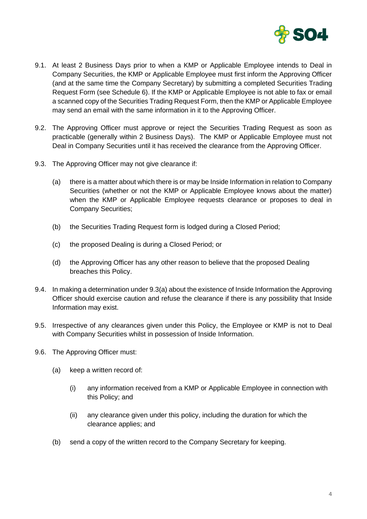

- 9.1. At least 2 Business Days prior to when a KMP or Applicable Employee intends to Deal in Company Securities, the KMP or Applicable Employee must first inform the Approving Officer (and at the same time the Company Secretary) by submitting a completed Securities Trading Request Form (see Schedule 6). If the KMP or Applicable Employee is not able to fax or email a scanned copy of the Securities Trading Request Form, then the KMP or Applicable Employee may send an email with the same information in it to the Approving Officer.
- 9.2. The Approving Officer must approve or reject the Securities Trading Request as soon as practicable (generally within 2 Business Days). The KMP or Applicable Employee must not Deal in Company Securities until it has received the clearance from the Approving Officer.
- 9.3. The Approving Officer may not give clearance if:
	- (a) there is a matter about which there is or may be Inside Information in relation to Company Securities (whether or not the KMP or Applicable Employee knows about the matter) when the KMP or Applicable Employee requests clearance or proposes to deal in Company Securities;
	- (b) the Securities Trading Request form is lodged during a Closed Period;
	- (c) the proposed Dealing is during a Closed Period; or
	- (d) the Approving Officer has any other reason to believe that the proposed Dealing breaches this Policy.
- 9.4. In making a determination under 9.3(a) about the existence of Inside Information the Approving Officer should exercise caution and refuse the clearance if there is any possibility that Inside Information may exist.
- 9.5. Irrespective of any clearances given under this Policy, the Employee or KMP is not to Deal with Company Securities whilst in possession of Inside Information.
- 9.6. The Approving Officer must:
	- (a) keep a written record of:
		- (i) any information received from a KMP or Applicable Employee in connection with this Policy; and
		- (ii) any clearance given under this policy, including the duration for which the clearance applies; and
	- (b) send a copy of the written record to the Company Secretary for keeping.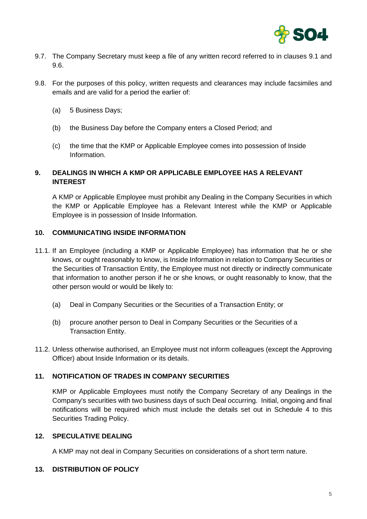

- 9.7. The Company Secretary must keep a file of any written record referred to in clauses 9.1 and 9.6.
- 9.8. For the purposes of this policy, written requests and clearances may include facsimiles and emails and are valid for a period the earlier of:
	- (a) 5 Business Days;
	- (b) the Business Day before the Company enters a Closed Period; and
	- (c) the time that the KMP or Applicable Employee comes into possession of Inside Information.

# **9. DEALINGS IN WHICH A KMP OR APPLICABLE EMPLOYEE HAS A RELEVANT INTEREST**

A KMP or Applicable Employee must prohibit any Dealing in the Company Securities in which the KMP or Applicable Employee has a Relevant Interest while the KMP or Applicable Employee is in possession of Inside Information.

## **10. COMMUNICATING INSIDE INFORMATION**

- 11.1. If an Employee (including a KMP or Applicable Employee) has information that he or she knows, or ought reasonably to know, is Inside Information in relation to Company Securities or the Securities of Transaction Entity, the Employee must not directly or indirectly communicate that information to another person if he or she knows, or ought reasonably to know, that the other person would or would be likely to:
	- (a) Deal in Company Securities or the Securities of a Transaction Entity; or
	- (b) procure another person to Deal in Company Securities or the Securities of a Transaction Entity.
- 11.2. Unless otherwise authorised, an Employee must not inform colleagues (except the Approving Officer) about Inside Information or its details.

### **11. NOTIFICATION OF TRADES IN COMPANY SECURITIES**

KMP or Applicable Employees must notify the Company Secretary of any Dealings in the Company's securities with two business days of such Deal occurring. Initial, ongoing and final notifications will be required which must include the details set out in Schedule 4 to this Securities Trading Policy.

### **12. SPECULATIVE DEALING**

A KMP may not deal in Company Securities on considerations of a short term nature.

## **13. DISTRIBUTION OF POLICY**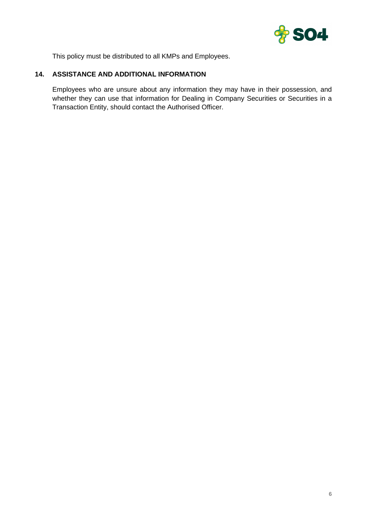

This policy must be distributed to all KMPs and Employees.

## **14. ASSISTANCE AND ADDITIONAL INFORMATION**

Employees who are unsure about any information they may have in their possession, and whether they can use that information for Dealing in Company Securities or Securities in a Transaction Entity, should contact the Authorised Officer.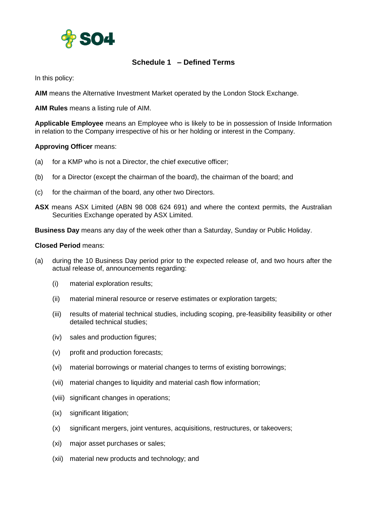

# **Schedule 1 – Defined Terms**

In this policy:

**AIM** means the Alternative Investment Market operated by the London Stock Exchange.

**AIM Rules** means a listing rule of AIM.

**Applicable Employee** means an Employee who is likely to be in possession of Inside Information in relation to the Company irrespective of his or her holding or interest in the Company.

#### **Approving Officer** means:

- (a) for a KMP who is not a Director, the chief executive officer;
- (b) for a Director (except the chairman of the board), the chairman of the board; and
- (c) for the chairman of the board, any other two Directors.
- **ASX** means ASX Limited (ABN 98 008 624 691) and where the context permits, the Australian Securities Exchange operated by ASX Limited.

**Business Day** means any day of the week other than a Saturday, Sunday or Public Holiday.

#### **Closed Period** means:

- (a) during the 10 Business Day period prior to the expected release of, and two hours after the actual release of, announcements regarding:
	- (i) material exploration results;
	- (ii) material mineral resource or reserve estimates or exploration targets;
	- (iii) results of material technical studies, including scoping, pre-feasibility feasibility or other detailed technical studies;
	- (iv) sales and production figures;
	- (v) profit and production forecasts;
	- (vi) material borrowings or material changes to terms of existing borrowings;
	- (vii) material changes to liquidity and material cash flow information;
	- (viii) significant changes in operations;
	- (ix) significant litigation;
	- (x) significant mergers, joint ventures, acquisitions, restructures, or takeovers;
	- (xi) major asset purchases or sales;
	- (xii) material new products and technology; and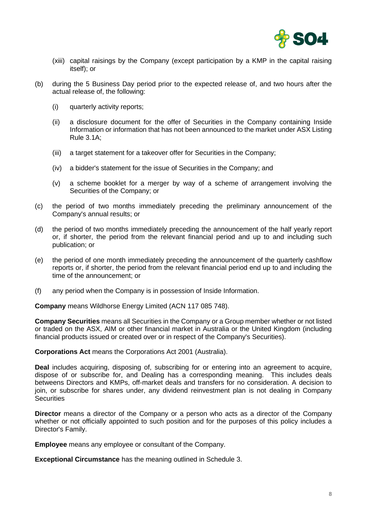

- (xiii) capital raisings by the Company (except participation by a KMP in the capital raising itself); or
- (b) during the 5 Business Day period prior to the expected release of, and two hours after the actual release of, the following:
	- (i) quarterly activity reports;
	- (ii) a disclosure document for the offer of Securities in the Company containing Inside Information or information that has not been announced to the market under ASX Listing Rule 3.1A;
	- (iii) a target statement for a takeover offer for Securities in the Company;
	- (iv) a bidder's statement for the issue of Securities in the Company; and
	- (v) a scheme booklet for a merger by way of a scheme of arrangement involving the Securities of the Company; or
- (c) the period of two months immediately preceding the preliminary announcement of the Company's annual results; or
- (d) the period of two months immediately preceding the announcement of the half yearly report or, if shorter, the period from the relevant financial period and up to and including such publication; or
- (e) the period of one month immediately preceding the announcement of the quarterly cashflow reports or, if shorter, the period from the relevant financial period end up to and including the time of the announcement; or
- (f) any period when the Company is in possession of Inside Information.

**Company** means Wildhorse Energy Limited (ACN 117 085 748).

**Company Securities** means all Securities in the Company or a Group member whether or not listed or traded on the ASX, AIM or other financial market in Australia or the United Kingdom (including financial products issued or created over or in respect of the Company's Securities).

**Corporations Act** means the Corporations Act 2001 (Australia).

**Deal** includes acquiring, disposing of, subscribing for or entering into an agreement to acquire, dispose of or subscribe for, and Dealing has a corresponding meaning. This includes deals betweens Directors and KMPs, off-market deals and transfers for no consideration. A decision to join, or subscribe for shares under, any dividend reinvestment plan is not dealing in Company Securities

**Director** means a director of the Company or a person who acts as a director of the Company whether or not officially appointed to such position and for the purposes of this policy includes a Director's Family.

**Employee** means any employee or consultant of the Company.

**Exceptional Circumstance** has the meaning outlined in [Schedule](#page-11-0) 3.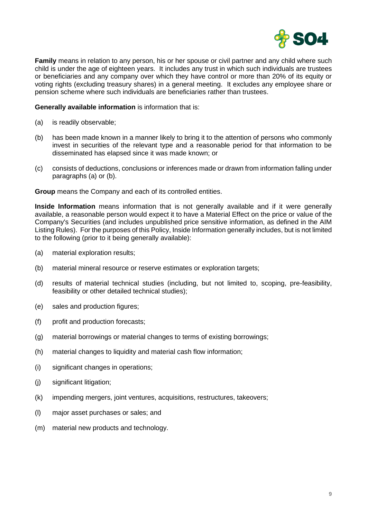

**Family** means in relation to any person, his or her spouse or civil partner and any child where such child is under the age of eighteen years. It includes any trust in which such individuals are trustees or beneficiaries and any company over which they have control or more than 20% of its equity or voting rights (excluding treasury shares) in a general meeting. It excludes any employee share or pension scheme where such individuals are beneficiaries rather than trustees.

#### **Generally available information** is information that is:

- (a) is readily observable;
- (b) has been made known in a manner likely to bring it to the attention of persons who commonly invest in securities of the relevant type and a reasonable period for that information to be disseminated has elapsed since it was made known; or
- (c) consists of deductions, conclusions or inferences made or drawn from information falling under paragraphs (a) or (b).

**Group** means the Company and each of its controlled entities.

**Inside Information** means information that is not generally available and if it were generally available, a reasonable person would expect it to have a Material Effect on the price or value of the Company's Securities (and includes unpublished price sensitive information, as defined in the AIM Listing Rules). For the purposes of this Policy, Inside Information generally includes, but is not limited to the following (prior to it being generally available):

- (a) material exploration results;
- (b) material mineral resource or reserve estimates or exploration targets;
- (d) results of material technical studies (including, but not limited to, scoping, pre-feasibility, feasibility or other detailed technical studies);
- (e) sales and production figures;
- (f) profit and production forecasts;
- (g) material borrowings or material changes to terms of existing borrowings;
- (h) material changes to liquidity and material cash flow information;
- (i) significant changes in operations;
- (j) significant litigation;
- (k) impending mergers, joint ventures, acquisitions, restructures, takeovers;
- (l) major asset purchases or sales; and
- (m) material new products and technology.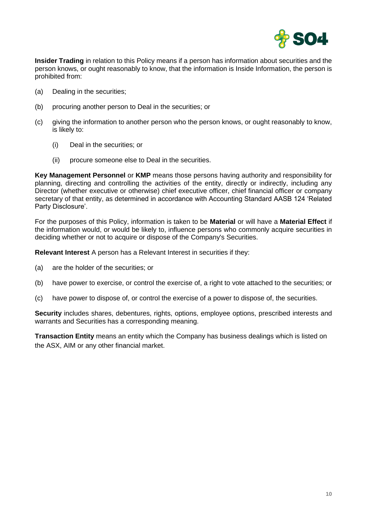

**Insider Trading** in relation to this Policy means if a person has information about securities and the person knows, or ought reasonably to know, that the information is Inside Information, the person is prohibited from:

- (a) Dealing in the securities;
- (b) procuring another person to Deal in the securities; or
- (c) giving the information to another person who the person knows, or ought reasonably to know, is likely to:
	- (i) Deal in the securities; or
	- (ii) procure someone else to Deal in the securities.

**Key Management Personnel** or **KMP** means those persons having authority and responsibility for planning, directing and controlling the activities of the entity, directly or indirectly, including any Director (whether executive or otherwise) chief executive officer, chief financial officer or company secretary of that entity, as determined in accordance with Accounting Standard AASB 124 'Related Party Disclosure'.

For the purposes of this Policy, information is taken to be **Material** or will have a **Material Effect** if the information would, or would be likely to, influence persons who commonly acquire securities in deciding whether or not to acquire or dispose of the Company's Securities.

**Relevant Interest** A person has a Relevant Interest in securities if they:

- (a) are the holder of the securities; or
- (b) have power to exercise, or control the exercise of, a right to vote attached to the securities; or
- (c) have power to dispose of, or control the exercise of a power to dispose of, the securities.

**Security** includes shares, debentures, rights, options, employee options, prescribed interests and warrants and Securities has a corresponding meaning.

**Transaction Entity** means an entity which the Company has business dealings which is listed on the ASX, AIM or any other financial market.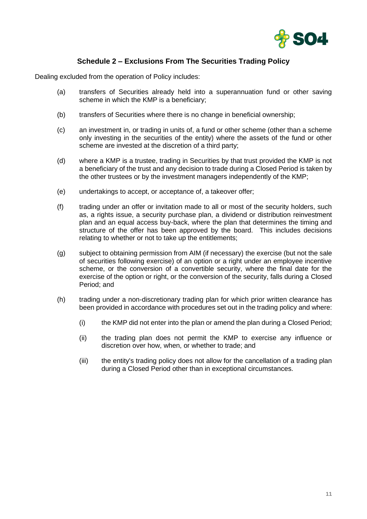

# **Schedule 2 – Exclusions From The Securities Trading Policy**

Dealing excluded from the operation of Policy includes:

- (a) transfers of Securities already held into a superannuation fund or other saving scheme in which the KMP is a beneficiary;
- (b) transfers of Securities where there is no change in beneficial ownership;
- (c) an investment in, or trading in units of, a fund or other scheme (other than a scheme only investing in the securities of the entity) where the assets of the fund or other scheme are invested at the discretion of a third party;
- (d) where a KMP is a trustee, trading in Securities by that trust provided the KMP is not a beneficiary of the trust and any decision to trade during a Closed Period is taken by the other trustees or by the investment managers independently of the KMP;
- (e) undertakings to accept, or acceptance of, a takeover offer;
- (f) trading under an offer or invitation made to all or most of the security holders, such as, a rights issue, a security purchase plan, a dividend or distribution reinvestment plan and an equal access buy-back, where the plan that determines the timing and structure of the offer has been approved by the board. This includes decisions relating to whether or not to take up the entitlements;
- (g) subject to obtaining permission from AIM (if necessary) the exercise (but not the sale of securities following exercise) of an option or a right under an employee incentive scheme, or the conversion of a convertible security, where the final date for the exercise of the option or right, or the conversion of the security, falls during a Closed Period; and
- (h) trading under a non-discretionary trading plan for which prior written clearance has been provided in accordance with procedures set out in the trading policy and where:
	- (i) the KMP did not enter into the plan or amend the plan during a Closed Period;
	- (ii) the trading plan does not permit the KMP to exercise any influence or discretion over how, when, or whether to trade; and
	- (iii) the entity's trading policy does not allow for the cancellation of a trading plan during a Closed Period other than in exceptional circumstances.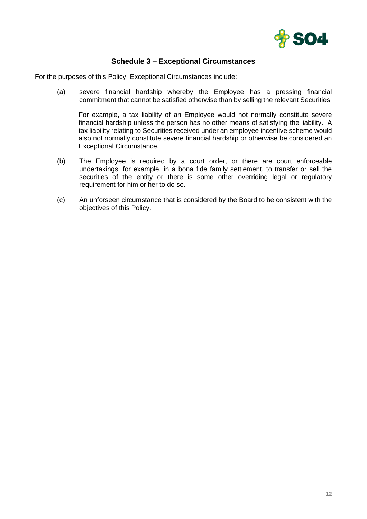

# **Schedule 3 – Exceptional Circumstances**

<span id="page-11-0"></span>For the purposes of this Policy, Exceptional Circumstances include:

(a) severe financial hardship whereby the Employee has a pressing financial commitment that cannot be satisfied otherwise than by selling the relevant Securities.

For example, a tax liability of an Employee would not normally constitute severe financial hardship unless the person has no other means of satisfying the liability. A tax liability relating to Securities received under an employee incentive scheme would also not normally constitute severe financial hardship or otherwise be considered an Exceptional Circumstance.

- (b) The Employee is required by a court order, or there are court enforceable undertakings, for example, in a bona fide family settlement, to transfer or sell the securities of the entity or there is some other overriding legal or regulatory requirement for him or her to do so.
- (c) An unforseen circumstance that is considered by the Board to be consistent with the objectives of this Policy.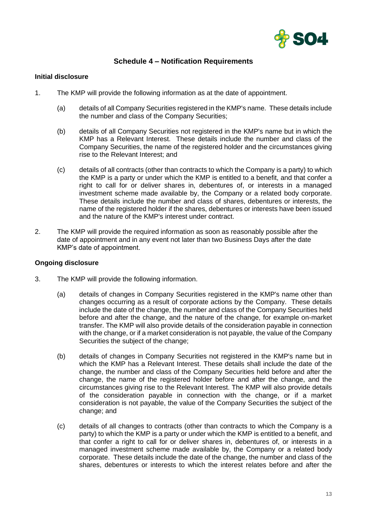

# **Schedule 4 – Notification Requirements**

#### **Initial disclosure**

- 1. The KMP will provide the following information as at the date of appointment.
	- (a) details of all Company Securities registered in the KMP's name. These details include the number and class of the Company Securities;
	- (b) details of all Company Securities not registered in the KMP's name but in which the KMP has a Relevant Interest. These details include the number and class of the Company Securities, the name of the registered holder and the circumstances giving rise to the Relevant Interest; and
	- (c) details of all contracts (other than contracts to which the Company is a party) to which the KMP is a party or under which the KMP is entitled to a benefit, and that confer a right to call for or deliver shares in, debentures of, or interests in a managed investment scheme made available by, the Company or a related body corporate. These details include the number and class of shares, debentures or interests, the name of the registered holder if the shares, debentures or interests have been issued and the nature of the KMP's interest under contract.
- 2. The KMP will provide the required information as soon as reasonably possible after the date of appointment and in any event not later than two Business Days after the date KMP's date of appointment.

#### **Ongoing disclosure**

- 3. The KMP will provide the following information.
	- (a) details of changes in Company Securities registered in the KMP's name other than changes occurring as a result of corporate actions by the Company. These details include the date of the change, the number and class of the Company Securities held before and after the change, and the nature of the change, for example on-market transfer. The KMP will also provide details of the consideration payable in connection with the change, or if a market consideration is not payable, the value of the Company Securities the subject of the change;
	- (b) details of changes in Company Securities not registered in the KMP's name but in which the KMP has a Relevant Interest. These details shall include the date of the change, the number and class of the Company Securities held before and after the change, the name of the registered holder before and after the change, and the circumstances giving rise to the Relevant Interest. The KMP will also provide details of the consideration payable in connection with the change, or if a market consideration is not payable, the value of the Company Securities the subject of the change; and
	- (c) details of all changes to contracts (other than contracts to which the Company is a party) to which the KMP is a party or under which the KMP is entitled to a benefit, and that confer a right to call for or deliver shares in, debentures of, or interests in a managed investment scheme made available by, the Company or a related body corporate. These details include the date of the change, the number and class of the shares, debentures or interests to which the interest relates before and after the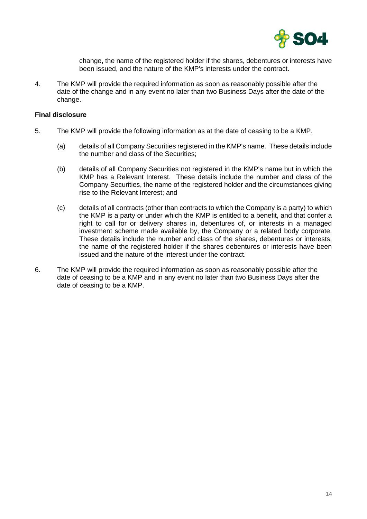

change, the name of the registered holder if the shares, debentures or interests have been issued, and the nature of the KMP's interests under the contract.

4. The KMP will provide the required information as soon as reasonably possible after the date of the change and in any event no later than two Business Days after the date of the change.

#### **Final disclosure**

- 5. The KMP will provide the following information as at the date of ceasing to be a KMP.
	- (a) details of all Company Securities registered in the KMP's name. These details include the number and class of the Securities;
	- (b) details of all Company Securities not registered in the KMP's name but in which the KMP has a Relevant Interest. These details include the number and class of the Company Securities, the name of the registered holder and the circumstances giving rise to the Relevant Interest; and
	- (c) details of all contracts (other than contracts to which the Company is a party) to which the KMP is a party or under which the KMP is entitled to a benefit, and that confer a right to call for or delivery shares in, debentures of, or interests in a managed investment scheme made available by, the Company or a related body corporate. These details include the number and class of the shares, debentures or interests, the name of the registered holder if the shares debentures or interests have been issued and the nature of the interest under the contract.
- 6. The KMP will provide the required information as soon as reasonably possible after the date of ceasing to be a KMP and in any event no later than two Business Days after the date of ceasing to be a KMP.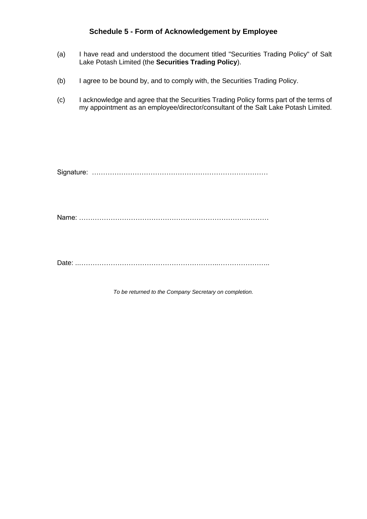## **Schedule 5 - Form of Acknowledgement by Employee**

- (a) I have read and understood the document titled "Securities Trading Policy" of Salt Lake Potash Limited (the **Securities Trading Policy**).
- (b) I agree to be bound by, and to comply with, the Securities Trading Policy.
- (c) I acknowledge and agree that the Securities Trading Policy forms part of the terms of my appointment as an employee/director/consultant of the Salt Lake Potash Limited.

Signature: ……………………………………………………………………

Name: …………………………………………………………………………

Date: ..……………………………………………………..…………………..

*To be returned to the Company Secretary on completion.*